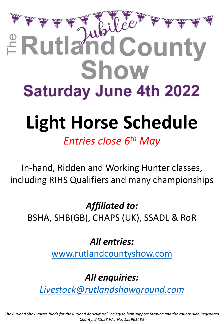# E Rutland County Show **Saturday June 4th 2022**

# **Light Horse Schedule**

*Entries close 6th May* 

In-hand, Ridden and Working Hunter classes, including RIHS Qualifiers and many championships

*Affiliated to:* 

BSHA, SHB(GB), CHAPS (UK), SSADL & RoR

*All entries:*

[www.rutlandcountyshow.com](http://www.rutlandcountyshow.com/)

*All enquiries:*

*[Livestock@rutlandshowground.com](mailto:Livestock@rutlandshowground.com)*

*The Rutland Show raises funds for the Rutland Agricultural Society to help support farming and the countryside Registered Charity: 241028 VAT No. 155961483*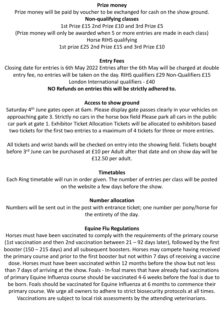### **Prize money**

Prize money will be paid by voucher to be exchanged for cash on the show ground.

## **Non-qualifying classes**

1st Prize £15 2nd Prize £10 and 3rd Prize £5

(Prize money will only be awarded when 5 or more entries are made in each class)

#### Horse RIHS qualifying

1st prize £25 2nd Prize £15 and 3rd Prize £10

#### **Entry Fees**

Closing date for entries is 6th May 2022 Entries after the 6th May will be charged at double entry fee, no entries will be taken on the day. RIHS qualifiers £29 Non-Qualifiers £15 London International qualifiers - £40

## **NO Refunds on entries this will be strictly adhered to.**

### **Access to show ground**

Saturday 4<sup>th</sup> June gates open at 6am. Please display gate passes clearly in your vehicles on approaching gate 3. Strictly no cars in the horse box field Please park all cars in the public car park at gate 1. Exhibitor Ticket Allocation Tickets will be allocated to exhibitors based two tickets for the first two entries to a maximum of 4 tickets for three or more entries.

All tickets and wrist bands will be checked on entry into the showing field. Tickets bought before 3<sup>rd</sup> June can be purchased at £10 per Adult after that date and on show day will be £12.50 per adult.

#### **Timetables**

Each Ring timetable will run in order given. The number of entries per class will be posted on the website a few days before the show.

## **Number allocation**

Numbers will be sent out in the post with entrance ticket; one number per pony/horse for the entirety of the day.

#### **Equine Flu Regulations**

Horses must have been vaccinated to comply with the requirements of the primary course (1st vaccination and then 2nd vaccination between  $21 - 92$  days later), followed by the first booster (150 – 215 days) and all subsequent boosters. Horses may compete having received the primary course and prior to the first booster but not within 7 days of receiving a vaccine dose. Horses must have been vaccinated within 12 months before the show but not less than 7 days of arriving at the show. Foals - In-foal mares that have already had vaccinations of primary Equine Influenza course should be vaccinated 4-6 weeks before the foal is due to be born. Foals should be vaccinated for Equine Influenza at 6 months to commence their primary course. We urge all owners to adhere to strict biosecurity protocols at all times. Vaccinations are subject to local risk assessments by the attending veterinarians.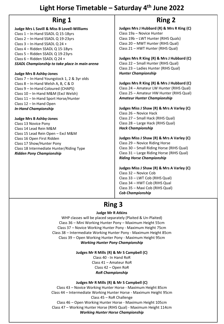## **Light Horse Timetable – Saturday 4th June 2022**

**Judge Mrs L Savill & Miss B Lovell-Williams** Class 1 – In-Hand SSADL Q 15-18yrs Class 2 – In-Hand SSADL Q 19-23yrs Class 3 – In-Hand SSADL Q 24 + Class 4 – Ridden SSADL Q 15-18yrs Class 5 – Ridden SSADL Q 19-23yrs Class 6 – Ridden SSADL Q 24 + *SSADL Championship to take place in main arena* 

#### **Judge Mrs B Ashby-Jones**

Class 7 – In-Hand Youngstock 1, 2 & 3yr olds Class 8 – In-Hand Welsh A, B, C & D Class 9 – In-Hand Coloured (CHAPS) Class 10 – In-Hand M&M (Excl Welsh) Class 11 – In-Hand Sport Horse/Hunter Class 12 – In-Hand Open *In-Hand Championship* 

#### **Judge Mrs B Ashby-Jones**

Class 13 Novice Pony Class 14 Lead Rein M&M Class 15 Lead Rein Open – Excl M&M Class 16 Open First Ridden Class 17 Show/Hunter Pony Class 18 Intermediate Hunter/Riding Type *Ridden Pony Championship* 

## **Ring 1 Ring 2**

**Judges Mrs J Hubbard (R) & Mrs R King (C)**  Class 19a – Novice Hunter Class 19b – LWT Hunter (RIHS Quals) Class 20 – MWT Hunter (RIHS Qual) Class 21 – HWT Hunter (RIHS Qual)

#### **Judges Mrs R King (R) & Mrs J Hubbard (C)** Class 22 – Small Hunter (RIHS Qual) Class 23 – Ladies Hunter (RIHS Qual) *Hunter Championship*

**Judges Mrs R King (R) & Mrs J Hubbard (C)** Class 24 – Amateur LW Hunter (RIHS Qual) Class 25 – Amateur HW Hunter (RIHS Qual) *Amateur Hunter Championship*

#### **Judges Miss J Shaw (R) & Mrs A Varley (C)** Class 26 – Novice Hack Class 27 – Small Hack (RIHS Qual) Class 28 – Large Hack (RIHS Qual) *Hack Championship*

**Judges Miss J Shaw (R) & Mrs A Varley (C)** Class 29 – Novice Riding Horse Class 30 – Small Riding Horse (RIHS Qual) Class 31 – Large Riding Horse (RIHS Qual) *Riding Horse Championship* 

**Judges Miss J Shaw (R) & Mrs A Varley (C)** Class 32 – Novice Cob Class 33 – LWT Cob (RIHS Qual) Class 34 – HWT Cob (RIHS Qual Class 35 – Maxi Cob (RIHS Qual) *Cob Championship* 

## **Ring 3**

#### **Judge Mr R Atkins**

WHP classes will be placed separately (Plaited & Un-Plaited) Class 36 – Mini Working Hunter Pony – Maximum Height 55cm Class 37 – Novice Working Hunter Pony - Maximum Height 75cm Class 38 – Intermediate Working Hunter Pony - Maximum Height 85cm Class 39 – Open Working Hunter Pony - Maximum Height 95cm *Working Hunter Pony Championship* 

#### **Judges Mr R Mills (R) & Mr S Campbell (C)**

Class 40 - In Hand RoR Class 41 – Amateur RoR Class 42 – Open RoR *RoR Championship* 

#### **Judges Mr R Mills (R) & Mr S Campbell (C)**

Class 43 – Novice Working Hunter Horse - Maximum Height 85cm Class 44 – Intermediate Working Hunter Horse - Maximum Height 95cm Class 45 – RoR Challenge Class 46 – Open Working Hunter Horse - Maximum Height 105cm Class 47 – Working Hunter Horse (RIHS Qual) - Maximum Height 114cm *Working Hunter Horse Championship*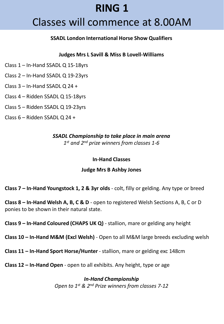# **RING 1**

# Classes will commence at 8.00AM

#### **SSADL London International Horse Show Qualifiers**

#### **Judges Mrs L Savill & Miss B Lovell-Williams**

- Class 1 In-Hand SSADL Q 15-18yrs
- Class 2 In-Hand SSADL Q 19-23yrs
- Class 3 In-Hand SSADL Q 24 +
- Class 4 Ridden SSADL Q 15-18yrs
- Class 5 Ridden SSADL Q 19-23yrs
- Class 6 Ridden SSADL Q 24 +

### *SSADL Championship to take place in main arena 1 st and 2nd prize winners from classes 1-6*

#### **In-Hand Classes**

#### **Judge Mrs B Ashby Jones**

**Class 7 – In-Hand Youngstock 1, 2 & 3yr olds** - colt, filly or gelding. Any type or breed

**Class 8 – In-Hand Welsh A, B, C & D** - open to registered Welsh Sections A, B, C or D ponies to be shown in their natural state.

**Class 9 – In-Hand Coloured (CHAPS UK Q)** - stallion, mare or gelding any height

**Class 10 – In-Hand M&M (Excl Welsh)** - Open to all M&M large breeds excluding welsh

**Class 11 – In-Hand Sport Horse/Hunter** - stallion, mare or gelding exc 148cm

**Class 12 – In-Hand Open** - open to all exhibits. Any height, type or age

*In-Hand Championship Open to 1st & 2nd Prize winners from classes 7-12*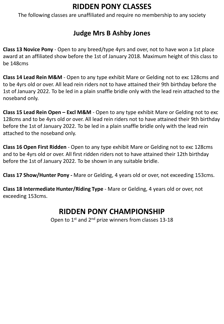## **RIDDEN PONY CLASSES**

The following classes are unaffiliated and require no membership to any society

## **Judge Mrs B Ashby Jones**

**Class 13 Novice Pony** - Open to any breed/type 4yrs and over, not to have won a 1st place award at an affiliated show before the 1st of January 2018. Maximum height of this class to be 148cms

**Class 14 Lead Rein M&M** - Open to any type exhibit Mare or Gelding not to exc 128cms and to be 4yrs old or over. All lead rein riders not to have attained their 9th birthday before the 1st of January 2022. To be led in a plain snaffle bridle only with the lead rein attached to the noseband only.

**Class 15 Lead Rein Open – Excl M&M** - Open to any type exhibit Mare or Gelding not to exc 128cms and to be 4yrs old or over. All lead rein riders not to have attained their 9th birthday before the 1st of January 2022. To be led in a plain snaffle bridle only with the lead rein attached to the noseband only.

**Class 16 Open First Ridden** - Open to any type exhibit Mare or Gelding not to exc 128cms and to be 4yrs old or over. All first ridden riders not to have attained their 12th birthday before the 1st of January 2022. To be shown in any suitable bridle.

**Class 17 Show/Hunter Pony -** Mare or Gelding, 4 years old or over, not exceeding 153cms.

**Class 18 Intermediate Hunter/Riding Type** - Mare or Gelding, 4 years old or over, not exceeding 153cms.

## **RIDDEN PONY CHAMPIONSHIP**

Open to 1<sup>st</sup> and 2<sup>nd</sup> prize winners from classes 13-18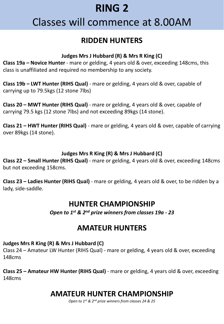# **RING 2**

# Classes will commence at 8.00AM

## **RIDDEN HUNTERS**

## **Judges Mrs J Hubbard (R) & Mrs R King (C)**

**Class 19a – Novice Hunter** - mare or gelding, 4 years old & over, exceeding 148cms, this class is unaffiliated and required no membership to any society.

**Class 19b – LWT Hunter (RIHS Qual)** - mare or gelding, 4 years old & over, capable of carrying up to 79.5kgs (12 stone 7lbs)

**Class 20 – MWT Hunter (RIHS Qual)** - mare or gelding, 4 years old & over, capable of carrying 79.5 kgs (12 stone 7lbs) and not exceeding 89kgs (14 stone).

**Class 21 – HWT Hunter (RIHS Qual)** - mare or gelding, 4 years old & over, capable of carrying over 89kgs (14 stone).

## **Judges Mrs R King (R) & Mrs J Hubbard (C)**

**Class 22 – Small Hunter (RIHS Qual)** - mare or gelding, 4 years old & over, exceeding 148cms but not exceeding 158cms.

**Class 23 – Ladies Hunter (RIHS Qual)** - mare or gelding, 4 years old & over, to be ridden by a lady, side-saddle.

## **HUNTER CHAMPIONSHIP**

*Open to 1st & 2nd prize winners from classes 19a - 23*

## **AMATEUR HUNTERS**

## **Judges Mrs R King (R) & Mrs J Hubbard (C)**

Class 24 – Amateur LW Hunter (RIHS Qual) - mare or gelding, 4 years old & over, exceeding 148cms

**Class 25 – Amateur HW Hunter (RIHS Qual)** - mare or gelding, 4 years old & over, exceeding 148cms

# **AMATEUR HUNTER CHAMPIONSHIP**

*Open to 1st & 2nd prize winners from classes 24 & 25*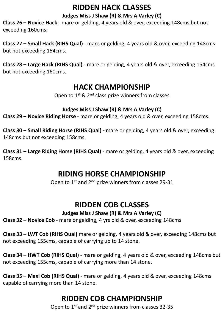## **RIDDEN HACK CLASSES**

## **Judges Miss J Shaw (R) & Mrs A Varley (C)**

**Class 26 – Novice Hack** - mare or gelding, 4 years old & over, exceeding 148cms but not exceeding 160cms.

**Class 27 – Small Hack (RIHS Qual)** - mare or gelding, 4 years old & over, exceeding 148cms but not exceeding 154cms.

**Class 28 – Large Hack (RIHS Qual)** - mare or gelding, 4 years old & over, exceeding 154cms but not exceeding 160cms.

## **HACK CHAMPIONSHIP**

Open to 1<sup>st</sup> & 2<sup>nd</sup> class prize winners from classes

### **Judges Miss J Shaw (R) & Mrs A Varley (C)**

**Class 29 – Novice Riding Horse** - mare or gelding, 4 years old & over, exceeding 158cms.

**Class 30 – Small Riding Horse (RIHS Qual) -** mare or gelding, 4 years old & over, exceeding 148cms but not exceeding 158cms.

**Class 31 – Large Riding Horse (RIHS Qual)** - mare or gelding, 4 years old & over, exceeding 158cms.

## **RIDING HORSE CHAMPIONSHIP**

Open to 1<sup>st</sup> and 2<sup>nd</sup> prize winners from classes 29-31

## **RIDDEN COB CLASSES**

#### **Judges Miss J Shaw (R) & Mrs A Varley (C)**

**Class 32 – Novice Cob** - mare or gelding, 4 yrs old & over, exceeding 148cms

**Class 33 – LWT Cob (RIHS Qual)** mare or gelding, 4 years old & over, exceeding 148cms but not exceeding 155cms, capable of carrying up to 14 stone.

**Class 34 – HWT Cob (RIHS Qual)** - mare or gelding, 4 years old & over, exceeding 148cms but not exceeding 155cms, capable of carrying more than 14 stone.

**Class 35 – Maxi Cob (RIHS Qual)** - mare or gelding, 4 years old & over, exceeding 148cms capable of carrying more than 14 stone.

## **RIDDEN COB CHAMPIONSHIP**

Open to 1<sup>st</sup> and 2<sup>nd</sup> prize winners from classes 32-35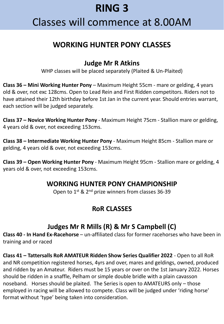# **RING 3**

# Classes will commence at 8.00AM

## **WORKING HUNTER PONY CLASSES**

## **Judge Mr R Atkins**

WHP classes will be placed separately (Plaited & Un-Plaited)

**Class 36 – Mini Working Hunter Pony** – Maximum Height 55cm - mare or gelding, 4 years old & over, not exc 128cms. Open to Lead Rein and First Ridden competitors. Riders not to have attained their 12th birthday before 1st Jan in the current year. Should entries warrant, each section will be judged separately.

**Class 37 – Novice Working Hunter Pony** - Maximum Height 75cm - Stallion mare or gelding, 4 years old & over, not exceeding 153cms.

**Class 38 – Intermediate Working Hunter Pony** - Maximum Height 85cm - Stallion mare or gelding, 4 years old & over, not exceeding 153cms.

**Class 39 – Open Working Hunter Pony** - Maximum Height 95cm - Stallion mare or gelding, 4 years old & over, not exceeding 153cms.

## **WORKING HUNTER PONY CHAMPIONSHIP**

Open to 1<sup>st</sup> & 2<sup>nd</sup> prize winners from classes 36-39

## **RoR CLASSES**

## **Judges Mr R Mills (R) & Mr S Campbell (C)**

**Class 40 - In Hand Ex-Racehorse** – un-affiliated class for former racehorses who have been in training and or raced

**Class 41 – Tattersalls RoR AMATEUR Ridden Show Series Qualifier 2022** - Open to all RoR and NR competition registered horses, 4yrs and over, mares and geldings, owned, produced and ridden by an Amateur. Riders must be 15 years or over on the 1st January 2022. Horses should be ridden in a snaffle, Pelham or simple double bridle with a plain cavasson noseband. Horses should be plaited. The Series is open to AMATEURS only – those employed in racing will be allowed to compete. Class will be judged under 'riding horse' format without 'type' being taken into consideration.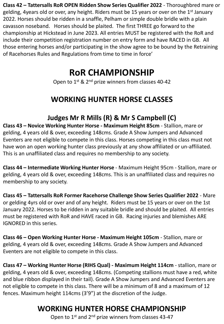**Class 42 – Tattersalls RoR OPEN Ridden Show Series Qualifier 2022** - Thoroughbred mare or gelding, 4 years old or over, any height. Riders must be 15 years or over on the 1<sup>st</sup> January 2022. Horses should be ridden in a snaffle, Pelham or simple double bridle with a plain cavasson noseband. Horses should be plaited. The first THREE go forward to the championship at Hickstead in June 2023. All entries MUST be registered with the RoR and include their competition registration number on entry form and have RACED in GB. All those entering horses and/or participating in the show agree to be bound by the Retraining of Racehorses Rules and Regulations from time to time in force'

# **RoR CHAMPIONSHIP**

Open to 1<sup>st</sup> & 2<sup>nd</sup> prize winners from classes 40-42

# **WORKING HUNTER HORSE CLASSES**

## **Judges Mr R Mills (R) & Mr S Campbell (C)**

**Class 43 – Novice Working Hunter Horse - Maximum Height 85cm** - Stallion, mare or gelding, 4 years old & over, exceeding 148cms. Grade A Show Jumpers and Advanced Eventers are not eligible to compete in this class. Horses competing in this class must not have won an open working hunter class previously at any show affiliated or un-affiliated. This is an unaffiliated class and requires no membership to any society.

**Class 44 – Intermediate Working Hunter Horse** - Maximum Height 95cm - Stallion, mare or gelding, 4 years old & over, exceeding 148cms. This is an unaffiliated class and requires no membership to any society.

**Class 45 – Tattersalls RoR Former Racehorse Challenge Show Series Qualifier 2022** - Mare or gelding 4yrs old or over and of any height. Riders must be 15 years or over on the 1st January 2022. Horses to be ridden in any suitable bridle and should be plaited. All entries must be registered with RoR and HAVE raced in GB. Racing injuries and blemishes ARE IGNORED in this series.

**Class 46 – Open Working Hunter Horse - Maximum Height 105cm** - Stallion, mare or gelding, 4 years old & over, exceeding 148cms. Grade A Show Jumpers and Advanced Eventers are not eligible to compete in this class.

**Class 47 – Working Hunter Horse (RIHS Qual) - Maximum Height 114cm** - stallion, mare or gelding, 4 years old & over, exceeding 148cms. (Competing stallions must have a red, white and blue ribbon displayed in their tail). Grade A Show Jumpers and Advanced Eventers are not eligible to compete in this class. There will be a minimum of 8 and a maximum of 12 fences. Maximum height 114cms (3'9") at the discretion of the Judge.

# **WORKING HUNTER HORSE CHAMPIONSHIP**

Open to 1<sup>st</sup> and 2<sup>nd</sup> prize winners from classes 43-47